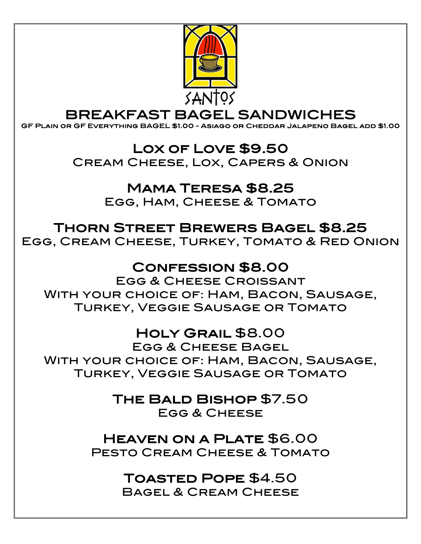

## BREAKFAST BAGEL SANDWICHES GF Plain or GF Everything BAGEL \$1.00 - Asiago or Cheddar Jalapeno Bagel add \$1.00

#### Lox of Love \$9.50

Cream Cheese, Lox, Capers & Onion

#### Mama Teresa \$8.25

Egg, Ham, Cheese & Tomato

### Thorn Street Brewers Bagel \$8.25

Egg, Cream Cheese, Turkey, Tomato & Red Onion

### Confession \$8.00

Egg & Cheese Croissant With your choice of: Ham, Bacon, Sausage, Turkey, Veggie Sausage or Tomato

### Holy Grail \$8.00

Egg & Cheese Bagel With your choice of: Ham, Bacon, Sausage, Turkey, Veggie Sausage or Tomato

### The Bald Bishop \$7.50

FGG & CHFFSF

Heaven on a Plate \$6.00 PESTO CREAM CHEESE & TOMATO

### Toasted Pope \$4.50

Bagel & Cream Cheese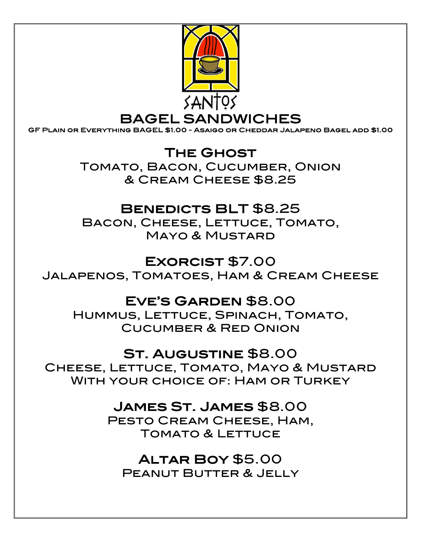

BAGEL SANDWICHES GF Plain or Everything BAGEL \$1.00 - Asaigo or Cheddar Jalapeno Bagel add \$1.00

The Ghost Tomato, Bacon, Cucumber, Onion & Cream Cheese \$8.25

### BENEDICTS BLT \$8.25

Bacon, Cheese, Lettuce, Tomato, Mayo & Mustard

### Exorcist \$7.00

Jalapenos, Tomatoes, Ham & Cream Cheese

#### Eve's Garden \$8.00

Hummus, Lettuce, Spinach, Tomato, Cucumber & Red Onion

#### St. Augustine \$8.00

CHEESE, LETTUCE, TOMATO, MAYO & MUSTARD With your choice of: Ham or Turkey

#### James St. James \$8.00

PESTO CREAM CHEESE, HAM, Tomato & Lettuce

Altar Boy \$5.00 Peanut Butter & Jelly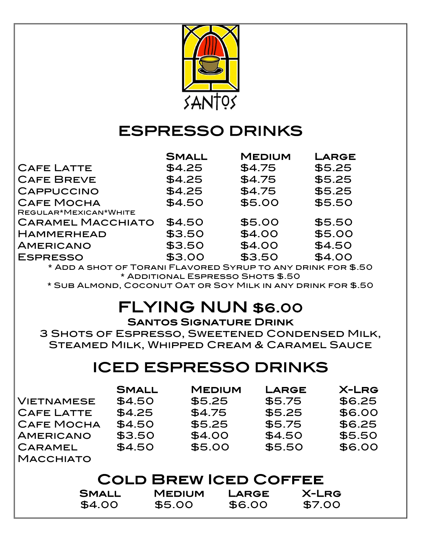

### ESPRESSO DRINKS

|                          | <b>SMALL</b> | <b>MEDIUM</b> | LARGE  |
|--------------------------|--------------|---------------|--------|
| <b>CAFE LATTE</b>        | \$4.25       | \$4.75        | \$5.25 |
| <b>CAFE BREVE</b>        | \$4.25       | \$4.75        | \$5.25 |
| <b>CAPPUCCINO</b>        | \$4.25       | \$4.75        | \$5.25 |
| <b>CAFE MOCHA</b>        | \$4.50       | \$5.00        | \$5.50 |
| REGULAR*MEXICAN*WHITE    |              |               |        |
| <b>CARAMEL MACCHIATO</b> | \$4.50       | \$5.00        | \$5.50 |
| <b>HAMMERHEAD</b>        | \$3.50       | \$4.00        | \$5.00 |
| <b>AMERICANO</b>         | \$3.50       | \$4.00        | \$4.50 |
| <b>ESPRESSO</b>          | \$3.00       | \$3.50        | \$4.00 |
|                          |              |               |        |

\* Add a shot of Torani Flavored Syrup to any drink for \$.50 \* Additional Espresso Shots \$.50

\* Sub Almond, Coconut Oat or Soy Milk in any drink for \$.50

### FLYING NUN \$6.00

#### Santos Signature Drink

3 Shots of Espresso, Sweetened Condensed Milk, Steamed Milk, Whipped Cream & Caramel Sauce

### ICED ESPRESSO DRINKS

|                       | <b>SMALL</b> | <b>MEDIUM</b> | <b>LARGE</b> | <b>X-LRG</b> |  |
|-----------------------|--------------|---------------|--------------|--------------|--|
| VIETNAMESE            | \$4.50       | \$5.25        | \$5.75       | \$6.25       |  |
| <b>CAFE LATTE</b>     | \$4.25       | \$4.75        | \$5.25       | \$6.00       |  |
| <b>CAFE MOCHA</b>     | \$4.50       | \$5.25        | \$5.75       | \$6.25       |  |
| <b>AMERICANO</b>      | \$3.50       | \$4.00        | \$4.50       | \$5.50       |  |
| CARAMEL               | \$4.50       | \$5.00        | \$5.50       | \$6.00       |  |
| <b>MACCHIATO</b>      |              |               |              |              |  |
| CALD PDEW ICED CAFFEE |              |               |              |              |  |

| <b>COLD BREW ICED COFFEE</b> |               |        |        |
|------------------------------|---------------|--------|--------|
| <b>SMALL</b>                 | <b>MEDIUM</b> | LARGE  | X-LRG  |
| \$4.00                       | \$5.00        | \$6.00 | \$7.00 |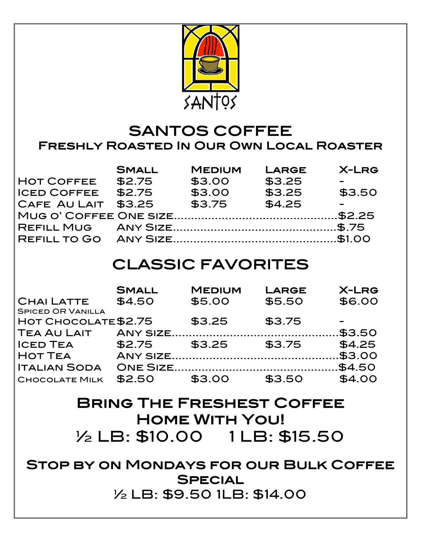

### SANTOS COFFEE Freshly Roasted In Our Own Local Roaster

|                     | <b>SMALL</b> | <b>MEDIUM</b> | <b>LARGE</b> | <b>X-LRG</b> |
|---------------------|--------------|---------------|--------------|--------------|
| <b>HOT COFFEE</b>   | \$2.75       | \$3.00        | \$3.25       |              |
| <b>ICED COFFEE</b>  | \$2.75       | \$3.00        | \$3.25       | \$3.50       |
| CAFE AU LAIT \$3.25 |              | \$3.75        | \$4.25       |              |
|                     |              |               |              |              |
|                     |              |               |              |              |
|                     |              |               |              |              |

### CLASSIC FAVORITES

|                          | <b>SMALL</b> | <b>MEDIUM</b> | <b>LARGE</b> | <b>X-LRG</b> |
|--------------------------|--------------|---------------|--------------|--------------|
| <b>CHAILATTE</b>         | \$4.50       | \$5.00        | \$5.50       | \$6.00       |
| <b>SPICED OR VANILLA</b> |              |               |              |              |
| HOT CHOCOLATE \$2.75     |              | \$3.25        | \$3.75       |              |
| <b>TEA AU LAIT</b>       |              |               |              |              |
| <b>ICED TEA</b>          | \$2.75       | \$3.25        | \$3.75       | \$4.25       |
| <b>HOT TEA</b>           |              |               |              |              |
| <b>ITALIAN SODA</b>      |              |               |              |              |
| <b>CHOCOLATE MILK</b>    | \$2.50       | \$3.00        | \$3.50       | \$4.00       |

### Bring The Freshest Coffee Home With You! <sup>½</sup> LB: \$10.00 1 LB: \$15.50

Stop by on Mondays for our Bulk Coffee **SPECIAL** ½ LB: \$9.50 1LB: \$14.00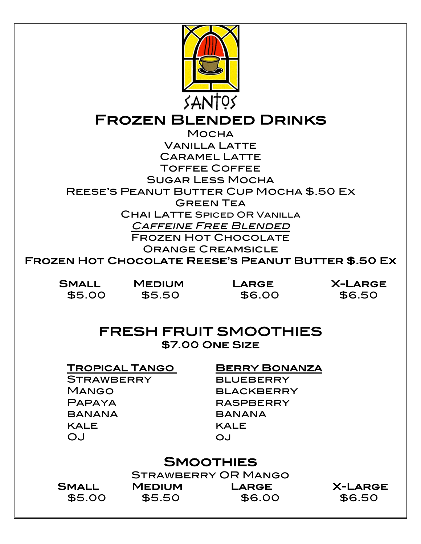

## Frozen Blended Drinks Mocha

Vanilla Latte Caramel Latte Toffee Coffee Sugar Less Mocha Reese's Peanut Butter Cup Mocha \$.50 Ex Green Tea Chai Latte Spiced OR Vanilla Caffeine Free Blended Frozen Hot Chocolate Orange Creamsicle

Frozen Hot Chocolate Reese's Peanut Butter \$.50 Ex

 Small Medium Large X-Large \$5.00 \$5.50 \$6.00 \$6.50

#### FRESH FRUIT SMOOTHIES \$7.00 One Size

#### Tropical Tango Berry Bonanza

- STRAWBERRY BLUEBERRY MANGO BLACKBERRY PAPAYA RASPBERRY BANANA BANANA KALE KALE OJ oj
- 

#### **SMOOTHIES**

Strawberry OR Mango Small Medium Large X-Large

\$5.00 \$5.50 \$6.00 \$6.50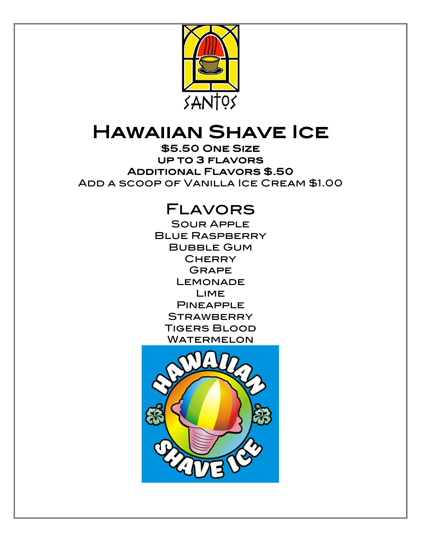

# HAWAIIAN SHAVE ICE

up to 3 flavors Additional Flavors \$.50 Add a scoop of Vanilla Ice Cream \$1.00

### Flavors

Sour Apple **BLUE RASPBERRY** Bubble Gum **CHERRY GRAPE LEMONADE** Lime **PINEAPPLE STRAWBERRY** Tigers Blood **WATERMELON**